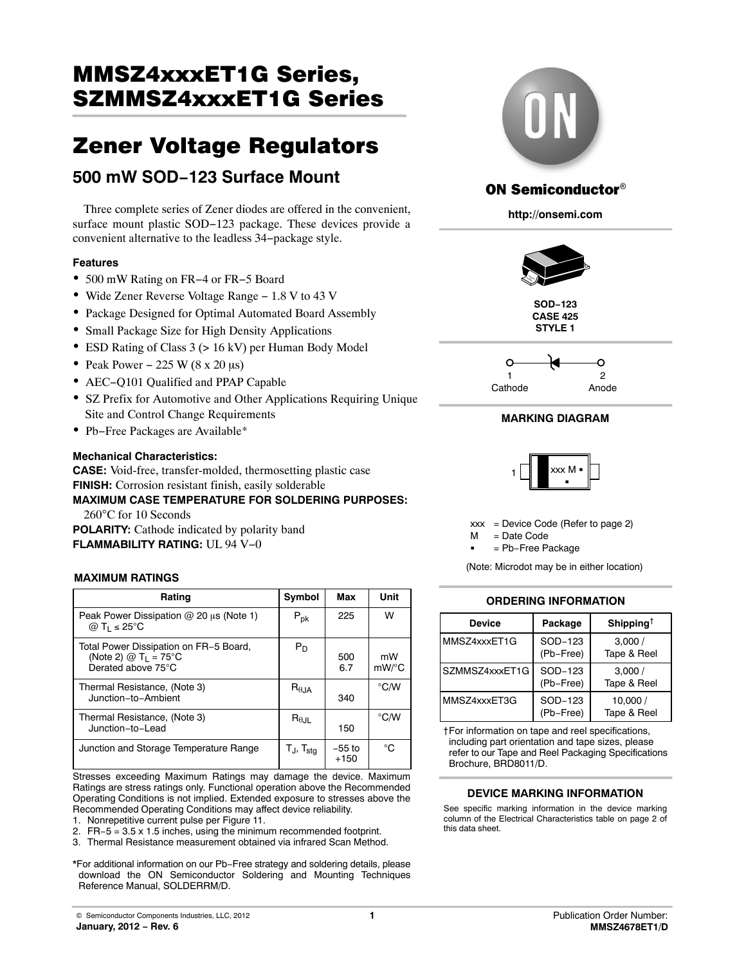# MMSZ4xxxET1G Series, <u>Szman Szman Szman Szman Szman Szman Szman Szman Szman Szman Szman Szman Szman Szman Szman Szman Szman Szman Sz</u>

# EOO mW COD 102 Currege Mount

# **500 mW SOD−123 Surface Mount**

Three complete series of Zener diodes are offered in the convenient, surface mount plastic SOD−123 package. These devices provide a convenient alternative to the leadless 34−package style.

#### **Features**

- 500 mW Rating on FR−4 or FR−5 Board
- Wide Zener Reverse Voltage Range − 1.8 V to 43 V
- Package Designed for Optimal Automated Board Assembly
- Small Package Size for High Density Applications
- ESD Rating of Class 3 (> 16 kV) per Human Body Model
- Peak Power 225 W ( $8 \times 20 \mu s$ )
- AEC−Q101 Qualified and PPAP Capable
- SZ Prefix for Automotive and Other Applications Requiring Unique Site and Control Change Requirements
- Pb−Free Packages are Available\*

#### **Mechanical Characteristics:**

**CASE:** Void-free, transfer-molded, thermosetting plastic case **FINISH:** Corrosion resistant finish, easily solderable

#### **MAXIMUM CASE TEMPERATURE FOR SOLDERING PURPOSES:** 260°C for 10 Seconds

**POLARITY:** Cathode indicated by polarity band **FLAMMABILITY RATING:** UL 94 V−0

#### **MAXIMUM RATINGS**

| Rating                                                                                             | Symbol                            | Max                | Unit           |
|----------------------------------------------------------------------------------------------------|-----------------------------------|--------------------|----------------|
| Peak Power Dissipation @ 20 µs (Note 1)<br>$@T_1 \leq 25^{\circ}C$                                 | $P_{\sf pk}$                      | 225                | W              |
| Total Power Dissipation on FR-5 Board,<br>(Note 2) $@$ T <sub>1</sub> = 75°C<br>Derated above 75°C | $P_D$                             | 500<br>6.7         | mW<br>$mW$ /°C |
| Thermal Resistance, (Note 3)<br>Junction-to-Ambient                                                | $R_{\theta,JA}$                   | 340                | °C/W           |
| Thermal Resistance, (Note 3)<br>Junction-to-Lead                                                   | $R_{\theta,H}$                    | 150                | $\degree$ C/W  |
| Junction and Storage Temperature Range                                                             | $T_{\text{J}}$ , $T_{\text{stg}}$ | $-55$ to<br>$+150$ | °C             |

Stresses exceeding Maximum Ratings may damage the device. Maximum Ratings are stress ratings only. Functional operation above the Recommended Operating Conditions is not implied. Extended exposure to stresses above the Recommended Operating Conditions may affect device reliability.

1. Nonrepetitive current pulse per Figure [11.](#page-3-0)

- 2. FR−5 = 3.5 x 1.5 inches, using the minimum recommended footprint.
- 3. Thermal Resistance measurement obtained via infrared Scan Method.

\*For additional information on our Pb−Free strategy and soldering details, please download the ON Semiconductor Soldering and Mounting Techniques Reference Manual, SOLDERRM/D.



# **ON Semiconductor®**

**http://onsemi.com**



**SOD−123 CASE 425 STYLE 1**



#### **MARKING DIAGRAM**



 $xxx = Device Code (Refer to page 2)$  $xxx = Device Code (Refer to page 2)$ 

= Date Code  $\mathsf{M}$ 

= Pb−Free Package

(Note: Microdot may be in either location)

#### **ORDERING INFORMATION**

| Device         | Package              | Shipping <sup>†</sup>   |
|----------------|----------------------|-------------------------|
| MMSZ4xxxET1G   | SOD-123<br>(Pb-Free) | 3,000/<br>Tape & Reel   |
| SZMMSZ4xxxFT1G | SOD-123<br>(Pb-Free) | 3,000/<br>Tape & Reel   |
| MMS74xxxFT3G   | SOD-123<br>(Pb-Free) | 10.000 /<br>Tape & Reel |

†For information on tape and reel specifications, including part orientation and tape sizes, please refer to our Tape and Reel Packaging Specifications Brochure, BRD8011/D.

#### **DEVICE MARKING INFORMATION**

See specific marking information in the device marking column of the Electrical Characteristics table on page [2](#page-1-0) of this data sheet.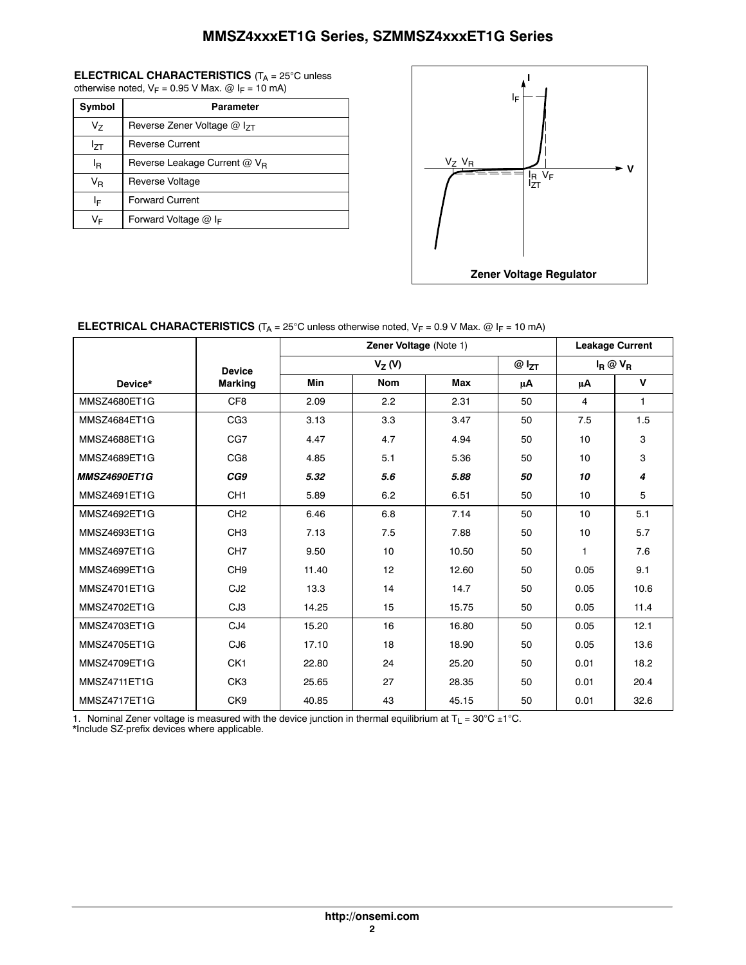# **MMSZ4xxxET1G Series, SZMMSZ4xxxET1G Series**

#### <span id="page-1-0"></span>**ELECTRICAL CHARACTERISTICS** (T<sub>A</sub> = 25°C unless otherwise noted,  $V_F$  = 0.95 V Max. @ I<sub>F</sub> = 10 mA)

| Symbol | <b>Parameter</b>                         |
|--------|------------------------------------------|
| Vz     | Reverse Zener Voltage $@$ $ _{7}$        |
| lzτ    | <b>Reverse Current</b>                   |
| ΙŖ     | Reverse Leakage Current @ V <sub>B</sub> |
| VR     | Reverse Voltage                          |
| ΙF     | <b>Forward Current</b>                   |
| VF     | Forward Voltage $@$ I <sub>F</sub>       |



#### **ELECTRICAL CHARACTERISTICS**  $(T_A = 25^\circ \text{C}$  unless otherwise noted,  $V_F = 0.9 \text{ V}$  Max.  $@$  I<sub>F</sub> = 10 mA)

|                     | Zener Voltage (Note 1) |            |            |       | <b>Leakage Current</b> |             |                     |
|---------------------|------------------------|------------|------------|-------|------------------------|-------------|---------------------|
|                     | <b>Device</b>          | $V_Z(V)$   |            |       | $@I_{ZT}$              | $I_R @ V_R$ |                     |
| Device*             | <b>Marking</b>         | <b>Min</b> | <b>Nom</b> | Max   | μA                     | μA          | V                   |
| MMSZ4680ET1G        | CF <sub>8</sub>        | 2.09       | 2.2        | 2.31  | 50                     | 4           | 1                   |
| MMSZ4684ET1G        | CG <sub>3</sub>        | 3.13       | 3.3        | 3.47  | 50                     | 7.5         | 1.5                 |
| MMSZ4688ET1G        | CG7                    | 4.47       | 4.7        | 4.94  | 50                     | 10          | 3                   |
| MMSZ4689ET1G        | CG8                    | 4.85       | 5.1        | 5.36  | 50                     | 10          | 3                   |
| <b>MMSZ4690ET1G</b> | CG9                    | 5.32       | 5.6        | 5.88  | 50                     | 10          | $\overline{\bf{4}}$ |
| MMSZ4691ET1G        | CH <sub>1</sub>        | 5.89       | 6.2        | 6.51  | 50                     | 10          | 5                   |
| MMSZ4692ET1G        | CH <sub>2</sub>        | 6.46       | 6.8        | 7.14  | 50                     | 10          | 5.1                 |
| MMSZ4693ET1G        | CH <sub>3</sub>        | 7.13       | 7.5        | 7.88  | 50                     | 10          | 5.7                 |
| MMSZ4697ET1G        | CH <sub>7</sub>        | 9.50       | 10         | 10.50 | 50                     | 1           | 7.6                 |
| MMSZ4699ET1G        | CH <sub>9</sub>        | 11.40      | 12         | 12.60 | 50                     | 0.05        | 9.1                 |
| MMSZ4701ET1G        | CJ <sub>2</sub>        | 13.3       | 14         | 14.7  | 50                     | 0.05        | 10.6                |
| MMSZ4702ET1G        | CJ3                    | 14.25      | 15         | 15.75 | 50                     | 0.05        | 11.4                |
| MMSZ4703ET1G        | CJ <sub>4</sub>        | 15.20      | 16         | 16.80 | 50                     | 0.05        | 12.1                |
| MMSZ4705ET1G        | CJ6                    | 17.10      | 18         | 18.90 | 50                     | 0.05        | 13.6                |
| MMSZ4709ET1G        | CK <sub>1</sub>        | 22.80      | 24         | 25.20 | 50                     | 0.01        | 18.2                |
| <b>MMSZ4711ET1G</b> | CK <sub>3</sub>        | 25.65      | 27         | 28.35 | 50                     | 0.01        | 20.4                |
| MMSZ4717ET1G        | CK9                    | 40.85      | 43         | 45.15 | 50                     | 0.01        | 32.6                |

1. Nominal Zener voltage is measured with the device junction in thermal equilibrium at  $T_L = 30^{\circ}$ C ±1<sup>o</sup>C.

\*Include SZ-prefix devices where applicable.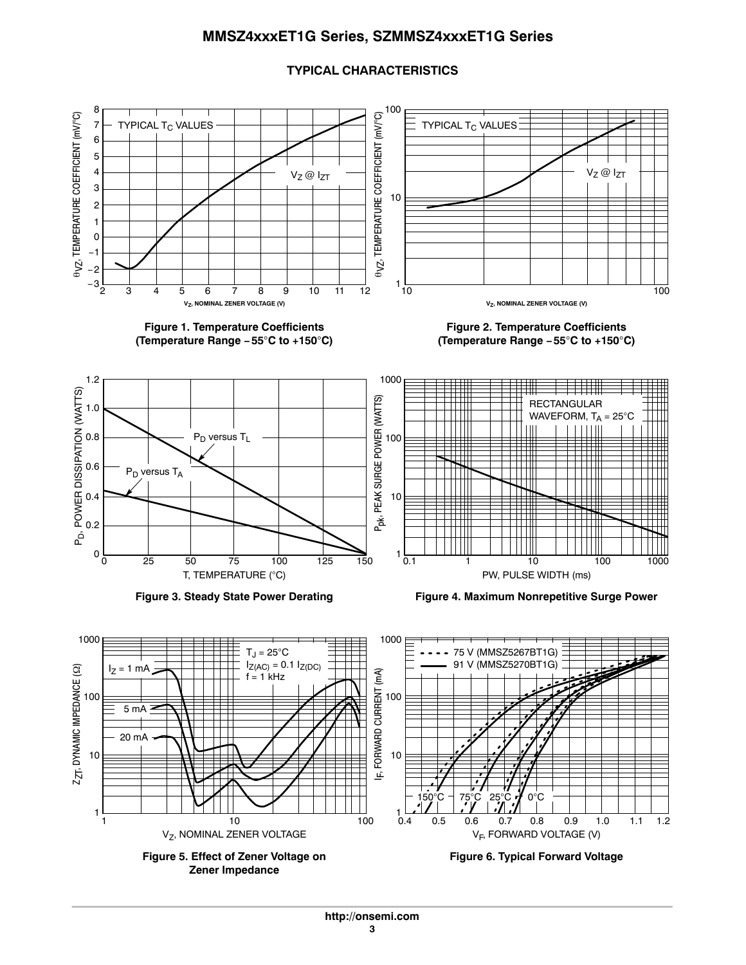## **MMSZ4xxxET1G Series, SZMMSZ4xxxET1G Series**

#### **TYPICAL CHARACTERISTICS**



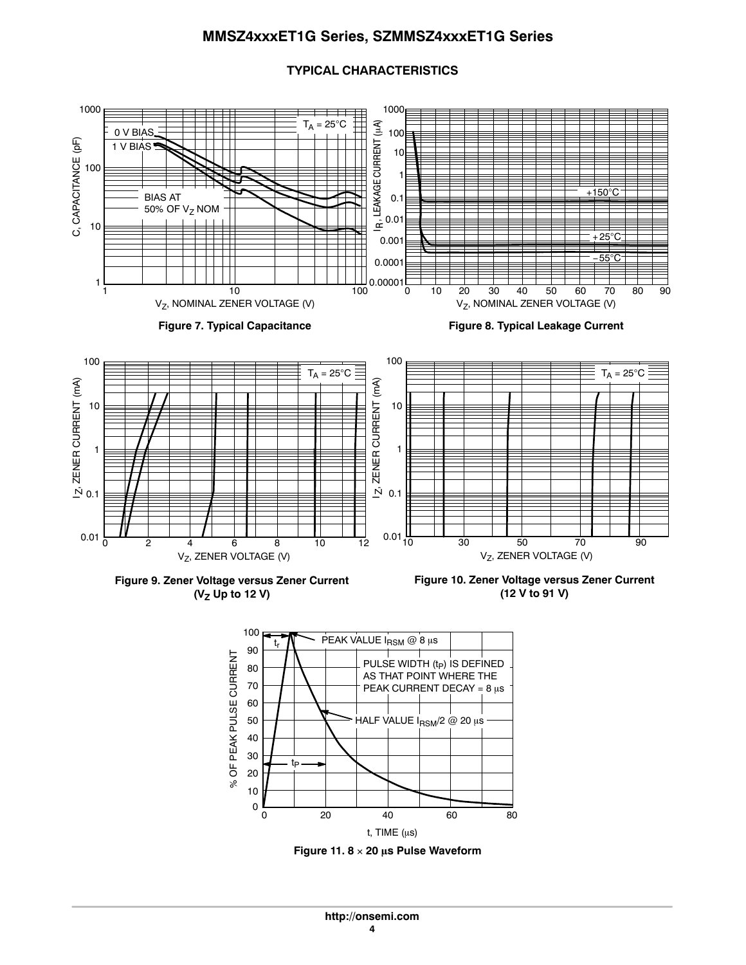### **MMSZ4xxxET1G Series, SZMMSZ4xxxET1G Series**

#### <span id="page-3-0"></span>1000 1000  $\frac{1}{\pm}$ R, LEAKAGE CURRENT (µA)  $\mathsf{T}_\mathsf{A}$  = 25°C IR, LEAKAGE CURRENT (µA) 0 V BIAS 100 C, CAPACITANCE (pF) C, CAPACITANCE (pF) 1 V BIAS 10 100 1 +150 $^{\circ}$ C BIAS AT 0.1 50% OF  $V_Z$  NOM 0.01 10  $+25^{\circ}$ C 0.001 −55C 0.0001 1 00001<br>0 100 90 1 10 0 10 20 30 40 50 60 70 80 Vz, NOMINAL ZENER VOLTAGE (V) V<sub>Z</sub>, NOMINAL ZENER VOLTAGE (V) **Figure 7. Typical Capacitance Figure 8. Typical Leakage Current** 100 100  $T_A = 25$ °C  $T_A = 25$ °C ZENER CURRENT (mA) ZENER CURRENT (mA) IZ, ZENER CURRENT (mA) IZ, ZENER CURRENT (mA) 10 10 1 1  $\dot{\mathbf{N}}$  0.1  $\overline{N}$  0.1  $0.01\frac{1}{10}$   $\frac{1}{30}$   $\frac{1}{50}$   $\frac{1}{70}$   $\frac{1}{90}$  $0.01\frac{1}{0}$   $\frac{1}{2}$   $\frac{1}{4}$   $\frac{1}{6}$   $\frac{1}{8}$   $\frac{1}{10}$ 12 V<sub>Z</sub>, ZENER VOLTAGE (V)  $V_Z$ , ZENER VOLTAGE (V)

#### **TYPICAL CHARACTERISTICS**



**Figure 10. Zener Voltage versus Zener Current (12 V to 91 V)**



**Figure 11. 8 20 -s Pulse Waveform**